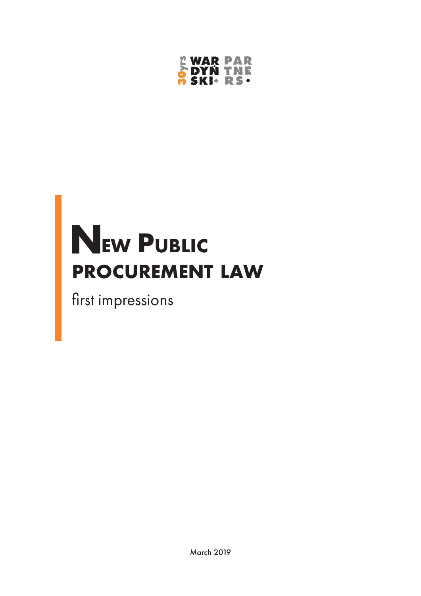

# $N_{EW}$  Public **procurement law**

first impressions

March 2019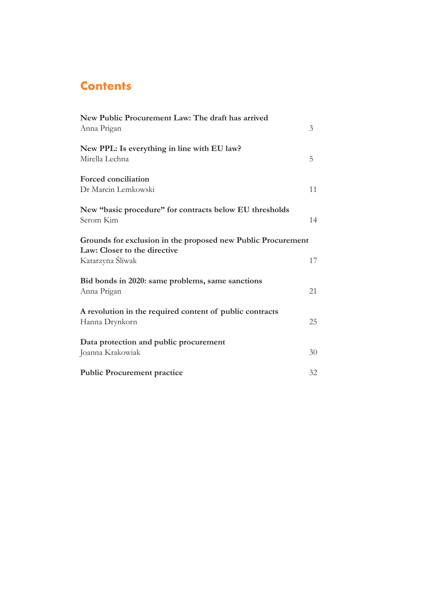# **Contents**

| New Public Procurement Law: The draft has arrived<br>Anna Prigan                                                 | 3  |
|------------------------------------------------------------------------------------------------------------------|----|
| New PPL: Is everything in line with EU law?<br>Mirella Lechna                                                    | 5  |
| <b>Forced conciliation</b><br>Dr Marcin Lemkowski                                                                | 11 |
| New "basic procedure" for contracts below EU thresholds<br>Serom Kim                                             | 14 |
| Grounds for exclusion in the proposed new Public Procurement<br>Law: Closer to the directive<br>Katarzyna Śliwak | 17 |
| Bid bonds in 2020: same problems, same sanctions<br>Anna Prigan                                                  | 21 |
| A revolution in the required content of public contracts<br>Hanna Drynkorn                                       | 25 |
| Data protection and public procurement<br>Joanna Krakowiak                                                       | 30 |
| <b>Public Procurement practice</b>                                                                               | 32 |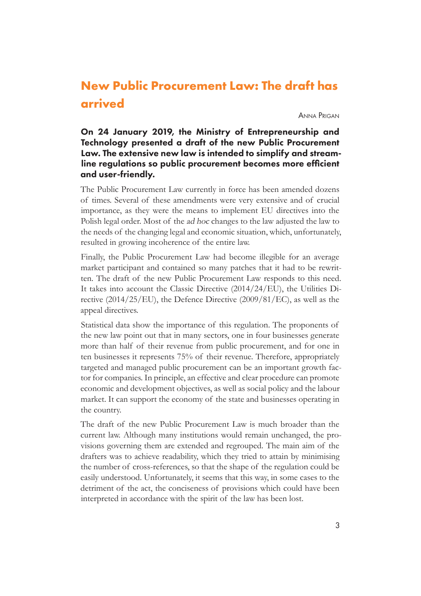# <span id="page-2-0"></span>**New Public Procurement Law: The draft has arrived**

Anna Prigan

## On 24 January 2019, the Ministry of Entrepreneurship and Technology presented a draft of the new Public Procurement Law. The extensive new law is intended to simplify and streamline regulations so public procurement becomes more efficient and user-friendly.

The Public Procurement Law currently in force has been amended dozens of times. Several of these amendments were very extensive and of crucial importance, as they were the means to implement EU directives into the Polish legal order. Most of the ad hoc changes to the law adjusted the law to the needs of the changing legal and economic situation, which, unfortunately, resulted in growing incoherence of the entire law.

Finally, the Public Procurement Law had become illegible for an average market participant and contained so many patches that it had to be rewritten. The draft of the new Public Procurement Law responds to this need. It takes into account the Classic Directive (2014/24/EU), the Utilities Directive (2014/25/EU), the Defence Directive (2009/81/EC), as well as the appeal directives.

Statistical data show the importance of this regulation. The proponents of the new law point out that in many sectors, one in four businesses generate more than half of their revenue from public procurement, and for one in ten businesses it represents 75% of their revenue. Therefore, appropriately targeted and managed public procurement can be an important growth factor for companies. In principle, an effective and clear procedure can promote economic and development objectives, as well as social policy and the labour market. It can support the economy of the state and businesses operating in the country.

The draft of the new Public Procurement Law is much broader than the current law. Although many institutions would remain unchanged, the provisions governing them are extended and regrouped. The main aim of the drafters was to achieve readability, which they tried to attain by minimising the number of cross-references, so that the shape of the regulation could be easily understood. Unfortunately, it seems that this way, in some cases to the detriment of the act, the conciseness of provisions which could have been interpreted in accordance with the spirit of the law has been lost.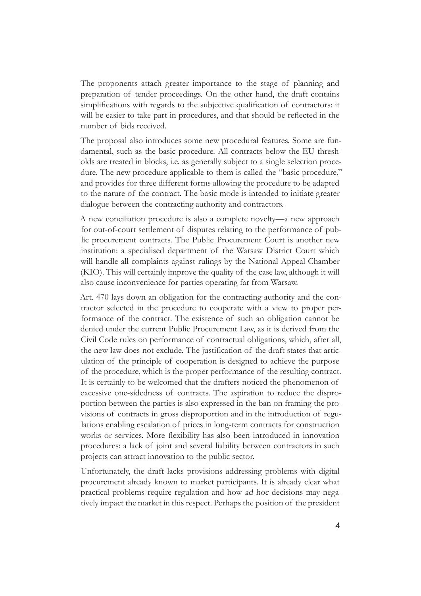The proponents attach greater importance to the stage of planning and preparation of tender proceedings. On the other hand, the draft contains simplifications with regards to the subjective qualification of contractors: it will be easier to take part in procedures, and that should be reflected in the number of bids received.

The proposal also introduces some new procedural features. Some are fundamental, such as the basic procedure. All contracts below the EU thresholds are treated in blocks, i.e. as generally subject to a single selection procedure. The new procedure applicable to them is called the "basic procedure," and provides for three different forms allowing the procedure to be adapted to the nature of the contract. The basic mode is intended to initiate greater dialogue between the contracting authority and contractors.

A new conciliation procedure is also a complete novelty—a new approach for out-of-court settlement of disputes relating to the performance of public procurement contracts. The Public Procurement Court is another new institution: a specialised department of the Warsaw District Court which will handle all complaints against rulings by the National Appeal Chamber (KIO). This will certainly improve the quality of the case law, although it will also cause inconvenience for parties operating far from Warsaw.

Art. 470 lays down an obligation for the contracting authority and the contractor selected in the procedure to cooperate with a view to proper performance of the contract. The existence of such an obligation cannot be denied under the current Public Procurement Law, as it is derived from the Civil Code rules on performance of contractual obligations, which, after all, the new law does not exclude. The justification of the draft states that articulation of the principle of cooperation is designed to achieve the purpose of the procedure, which is the proper performance of the resulting contract. It is certainly to be welcomed that the drafters noticed the phenomenon of excessive one-sidedness of contracts. The aspiration to reduce the disproportion between the parties is also expressed in the ban on framing the provisions of contracts in gross disproportion and in the introduction of regulations enabling escalation of prices in long-term contracts for construction works or services. More flexibility has also been introduced in innovation procedures: a lack of joint and several liability between contractors in such projects can attract innovation to the public sector.

Unfortunately, the draft lacks provisions addressing problems with digital procurement already known to market participants. It is already clear what practical problems require regulation and how ad hoc decisions may negatively impact the market in this respect. Perhaps the position of the president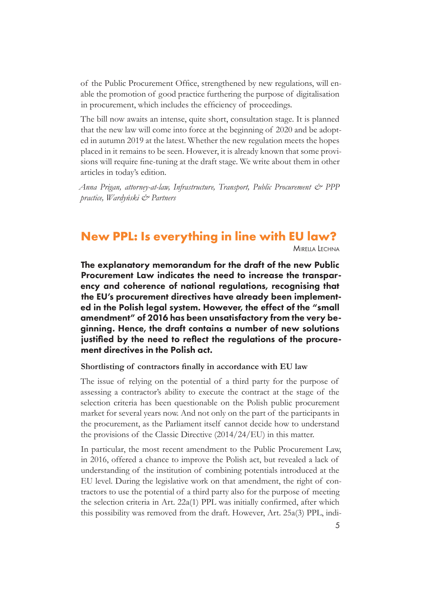<span id="page-4-0"></span>of the Public Procurement Office, strengthened by new regulations, will enable the promotion of good practice furthering the purpose of digitalisation in procurement, which includes the efficiency of proceedings.

The bill now awaits an intense, quite short, consultation stage. It is planned that the new law will come into force at the beginning of 2020 and be adopted in autumn 2019 at the latest. Whether the new regulation meets the hopes placed in it remains to be seen. However, it is already known that some provisions will require fine-tuning at the draft stage. We write about them in other articles in today's edition.

*Anna Prigan, attorney-at-law, Infrastructure, Transport, Public Procurement & PPP practice, Wardyński & Partners*

## **New PPL: Is everything in line with EU law?**

Mirella Lechna

The explanatory memorandum for the draft of the new Public Procurement Law indicates the need to increase the transparency and coherence of national regulations, recognising that the EU's procurement directives have already been implemented in the Polish legal system. However, the effect of the "small amendment" of 2016 has been unsatisfactory from the very beginning. Hence, the draft contains a number of new solutions justified by the need to reflect the regulations of the procurement directives in the Polish act.

#### **Shortlisting of contractors finally in accordance with EU law**

The issue of relying on the potential of a third party for the purpose of assessing a contractor's ability to execute the contract at the stage of the selection criteria has been questionable on the Polish public procurement market for several years now. And not only on the part of the participants in the procurement, as the Parliament itself cannot decide how to understand the provisions of the Classic Directive (2014/24/EU) in this matter.

In particular, the most recent amendment to the Public Procurement Law, in 2016, offered a chance to improve the Polish act, but revealed a lack of understanding of the institution of combining potentials introduced at the EU level. During the legislative work on that amendment, the right of contractors to use the potential of a third party also for the purpose of meeting the selection criteria in Art. 22a(1) PPL was initially confirmed, after which this possibility was removed from the draft. However, Art. 25a(3) PPL, indi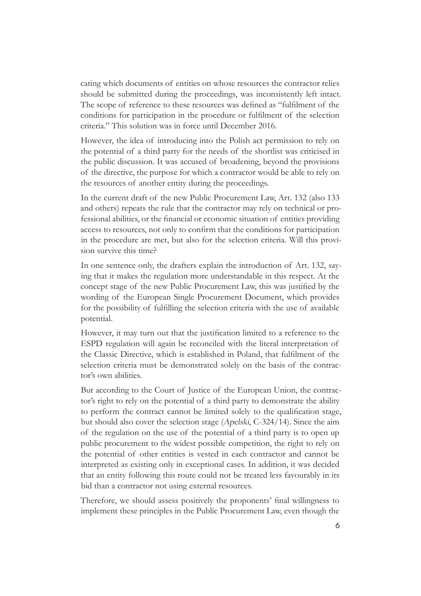cating which documents of entities on whose resources the contractor relies should be submitted during the proceedings, was inconsistently left intact. The scope of reference to these resources was defined as "fulfilment of the conditions for participation in the procedure or fulfilment of the selection criteria." This solution was in force until December 2016.

However, the idea of introducing into the Polish act permission to rely on the potential of a third party for the needs of the shortlist was criticised in the public discussion. It was accused of broadening, beyond the provisions of the directive, the purpose for which a contractor would be able to rely on the resources of another entity during the proceedings.

In the current draft of the new Public Procurement Law, Art. 132 (also 133 and others) repeats the rule that the contractor may rely on technical or professional abilities, or the financial or economic situation of entities providing access to resources, not only to confirm that the conditions for participation in the procedure are met, but also for the selection criteria. Will this provision survive this time?

In one sentence only, the drafters explain the introduction of Art. 132, saying that it makes the regulation more understandable in this respect. At the concept stage of the new Public Procurement Law, this was justified by the wording of the European Single Procurement Document, which provides for the possibility of fulfilling the selection criteria with the use of available potential.

However, it may turn out that the justification limited to a reference to the ESPD regulation will again be reconciled with the literal interpretation of the Classic Directive, which is established in Poland, that fulfilment of the selection criteria must be demonstrated solely on the basis of the contractor's own abilities.

But according to the Court of Justice of the European Union, the contractor's right to rely on the potential of a third party to demonstrate the ability to perform the contract cannot be limited solely to the qualification stage, but should also cover the selection stage (Apelski, C-324/14). Since the aim of the regulation on the use of the potential of a third party is to open up public procurement to the widest possible competition, the right to rely on the potential of other entities is vested in each contractor and cannot be interpreted as existing only in exceptional cases. In addition, it was decided that an entity following this route could not be treated less favourably in its bid than a contractor not using external resources.

Therefore, we should assess positively the proponents' final willingness to implement these principles in the Public Procurement Law, even though the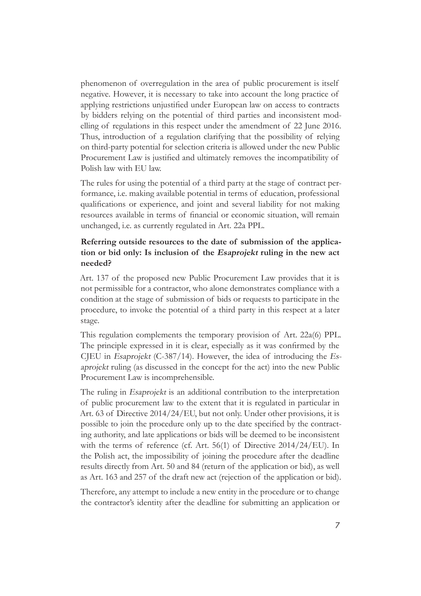phenomenon of overregulation in the area of public procurement is itself negative. However, it is necessary to take into account the long practice of applying restrictions unjustified under European law on access to contracts by bidders relying on the potential of third parties and inconsistent modelling of regulations in this respect under the amendment of 22 June 2016. Thus, introduction of a regulation clarifying that the possibility of relying on third-party potential for selection criteria is allowed under the new Public Procurement Law is justified and ultimately removes the incompatibility of Polish law with EU law.

The rules for using the potential of a third party at the stage of contract performance, i.e. making available potential in terms of education, professional qualifications or experience, and joint and several liability for not making resources available in terms of financial or economic situation, will remain unchanged, i.e. as currently regulated in Art. 22a PPL.

#### **Referring outside resources to the date of submission of the application or bid only: Is inclusion of the Esaprojekt ruling in the new act needed?**

Art. 137 of the proposed new Public Procurement Law provides that it is not permissible for a contractor, who alone demonstrates compliance with a condition at the stage of submission of bids or requests to participate in the procedure, to invoke the potential of a third party in this respect at a later stage.

This regulation complements the temporary provision of Art. 22a(6) PPL. The principle expressed in it is clear, especially as it was confirmed by the CJEU in Esaprojekt (C-387/14). However, the idea of introducing the Esaprojekt ruling (as discussed in the concept for the act) into the new Public Procurement Law is incomprehensible.

The ruling in Esaprojekt is an additional contribution to the interpretation of public procurement law to the extent that it is regulated in particular in Art. 63 of Directive 2014/24/EU, but not only. Under other provisions, it is possible to join the procedure only up to the date specified by the contracting authority, and late applications or bids will be deemed to be inconsistent with the terms of reference (cf. Art. 56(1) of Directive 2014/24/EU). In the Polish act, the impossibility of joining the procedure after the deadline results directly from Art. 50 and 84 (return of the application or bid), as well as Art. 163 and 257 of the draft new act (rejection of the application or bid).

Therefore, any attempt to include a new entity in the procedure or to change the contractor's identity after the deadline for submitting an application or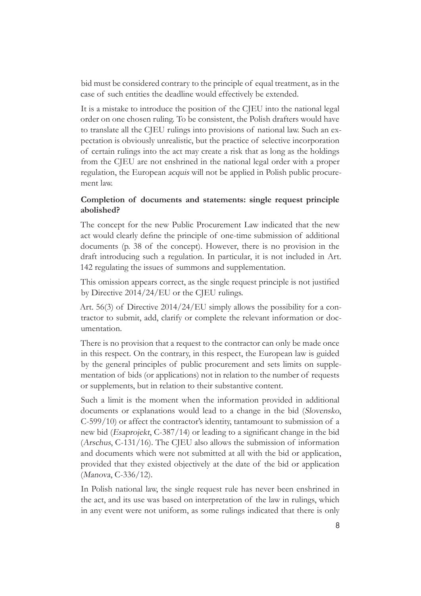bid must be considered contrary to the principle of equal treatment, as in the case of such entities the deadline would effectively be extended.

It is a mistake to introduce the position of the CJEU into the national legal order on one chosen ruling. To be consistent, the Polish drafters would have to translate all the CJEU rulings into provisions of national law. Such an expectation is obviously unrealistic, but the practice of selective incorporation of certain rulings into the act may create a risk that as long as the holdings from the CJEU are not enshrined in the national legal order with a proper regulation, the European acquis will not be applied in Polish public procurement law.

#### **Completion of documents and statements: single request principle abolished?**

The concept for the new Public Procurement Law indicated that the new act would clearly define the principle of one-time submission of additional documents (p. 38 of the concept). However, there is no provision in the draft introducing such a regulation. In particular, it is not included in Art. 142 regulating the issues of summons and supplementation.

This omission appears correct, as the single request principle is not justified by Directive 2014/24/EU or the CJEU rulings.

Art. 56(3) of Directive 2014/24/EU simply allows the possibility for a contractor to submit, add, clarify or complete the relevant information or documentation.

There is no provision that a request to the contractor can only be made once in this respect. On the contrary, in this respect, the European law is guided by the general principles of public procurement and sets limits on supplementation of bids (or applications) not in relation to the number of requests or supplements, but in relation to their substantive content.

Such a limit is the moment when the information provided in additional documents or explanations would lead to a change in the bid (Slovensko, C-599/10) or affect the contractor's identity, tantamount to submission of a new bid (Esaprojekt, C-387/14) or leading to a significant change in the bid (Arschus, C-131/16). The CJEU also allows the submission of information and documents which were not submitted at all with the bid or application, provided that they existed objectively at the date of the bid or application (Manova, C-336/12).

In Polish national law, the single request rule has never been enshrined in the act, and its use was based on interpretation of the law in rulings, which in any event were not uniform, as some rulings indicated that there is only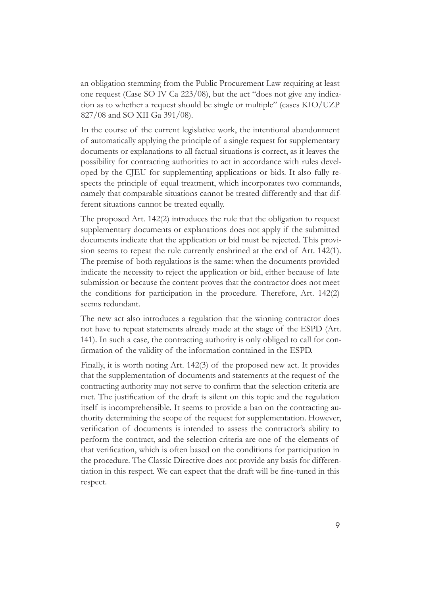an obligation stemming from the Public Procurement Law requiring at least one request (Case SO IV Ca 223/08), but the act "does not give any indication as to whether a request should be single or multiple" (cases KIO/UZP 827/08 and SO XII Ga 391/08).

In the course of the current legislative work, the intentional abandonment of automatically applying the principle of a single request for supplementary documents or explanations to all factual situations is correct, as it leaves the possibility for contracting authorities to act in accordance with rules developed by the CJEU for supplementing applications or bids. It also fully respects the principle of equal treatment, which incorporates two commands, namely that comparable situations cannot be treated differently and that different situations cannot be treated equally.

The proposed Art. 142(2) introduces the rule that the obligation to request supplementary documents or explanations does not apply if the submitted documents indicate that the application or bid must be rejected. This provision seems to repeat the rule currently enshrined at the end of Art. 142(1). The premise of both regulations is the same: when the documents provided indicate the necessity to reject the application or bid, either because of late submission or because the content proves that the contractor does not meet the conditions for participation in the procedure. Therefore, Art. 142(2) seems redundant.

The new act also introduces a regulation that the winning contractor does not have to repeat statements already made at the stage of the ESPD (Art. 141). In such a case, the contracting authority is only obliged to call for confirmation of the validity of the information contained in the ESPD.

Finally, it is worth noting Art. 142(3) of the proposed new act. It provides that the supplementation of documents and statements at the request of the contracting authority may not serve to confirm that the selection criteria are met. The justification of the draft is silent on this topic and the regulation itself is incomprehensible. It seems to provide a ban on the contracting authority determining the scope of the request for supplementation. However, verification of documents is intended to assess the contractor's ability to perform the contract, and the selection criteria are one of the elements of that verification, which is often based on the conditions for participation in the procedure. The Classic Directive does not provide any basis for differentiation in this respect. We can expect that the draft will be fine-tuned in this respect.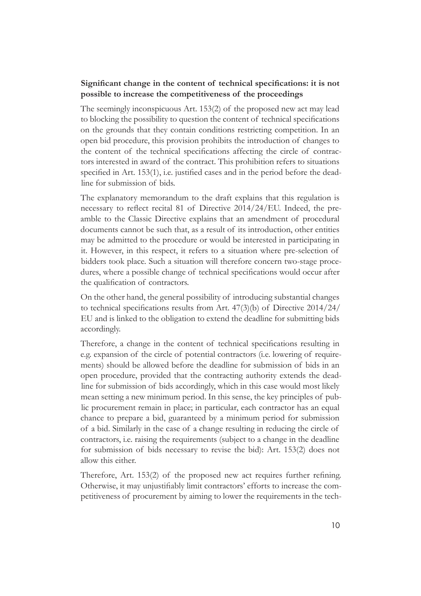#### **Significant change in the content of technical specifications: it is not possible to increase the competitiveness of the proceedings**

The seemingly inconspicuous Art. 153(2) of the proposed new act may lead to blocking the possibility to question the content of technical specifications on the grounds that they contain conditions restricting competition. In an open bid procedure, this provision prohibits the introduction of changes to the content of the technical specifications affecting the circle of contractors interested in award of the contract. This prohibition refers to situations specified in Art. 153(1), i.e. justified cases and in the period before the deadline for submission of bids.

The explanatory memorandum to the draft explains that this regulation is necessary to reflect recital 81 of Directive 2014/24/EU. Indeed, the preamble to the Classic Directive explains that an amendment of procedural documents cannot be such that, as a result of its introduction, other entities may be admitted to the procedure or would be interested in participating in it. However, in this respect, it refers to a situation where pre-selection of bidders took place. Such a situation will therefore concern two-stage procedures, where a possible change of technical specifications would occur after the qualification of contractors.

On the other hand, the general possibility of introducing substantial changes to technical specifications results from Art. 47(3)(b) of Directive 2014/24/ EU and is linked to the obligation to extend the deadline for submitting bids accordingly.

Therefore, a change in the content of technical specifications resulting in e.g. expansion of the circle of potential contractors (i.e. lowering of requirements) should be allowed before the deadline for submission of bids in an open procedure, provided that the contracting authority extends the deadline for submission of bids accordingly, which in this case would most likely mean setting a new minimum period. In this sense, the key principles of public procurement remain in place; in particular, each contractor has an equal chance to prepare a bid, guaranteed by a minimum period for submission of a bid. Similarly in the case of a change resulting in reducing the circle of contractors, i.e. raising the requirements (subject to a change in the deadline for submission of bids necessary to revise the bid): Art. 153(2) does not allow this either.

Therefore, Art. 153(2) of the proposed new act requires further refining. Otherwise, it may unjustifiably limit contractors' efforts to increase the competitiveness of procurement by aiming to lower the requirements in the tech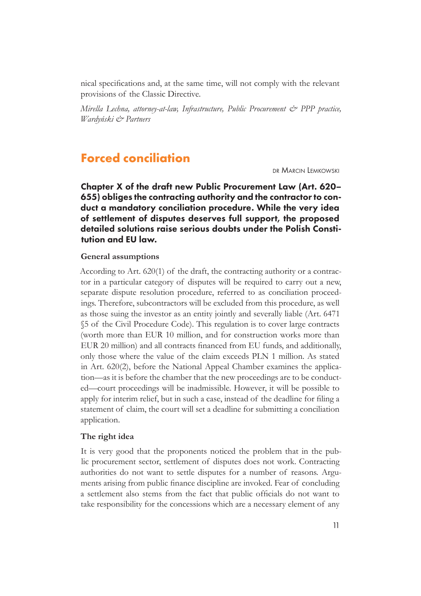<span id="page-10-0"></span>nical specifications and, at the same time, will not comply with the relevant provisions of the Classic Directive.

*Mirella Lechna, attorney-at-law, Infrastructure, Public Procurement & PPP practice, Wardyński & Partners*

## **Forced conciliation**

dr Marcin Lemkowski

Chapter X of the draft new Public Procurement Law (Art. 620– 655) obliges the contracting authority and the contractor to conduct a mandatory conciliation procedure. While the very idea of settlement of disputes deserves full support, the proposed detailed solutions raise serious doubts under the Polish Constitution and EU law.

#### **General assumptions**

According to Art. 620(1) of the draft, the contracting authority or a contractor in a particular category of disputes will be required to carry out a new, separate dispute resolution procedure, referred to as conciliation proceedings. Therefore, subcontractors will be excluded from this procedure, as well as those suing the investor as an entity jointly and severally liable (Art. 6471 §5 of the Civil Procedure Code). This regulation is to cover large contracts (worth more than EUR 10 million, and for construction works more than EUR 20 million) and all contracts financed from EU funds, and additionally, only those where the value of the claim exceeds PLN 1 million. As stated in Art. 620(2), before the National Appeal Chamber examines the application—as it is before the chamber that the new proceedings are to be conducted—court proceedings will be inadmissible. However, it will be possible to apply for interim relief, but in such a case, instead of the deadline for filing a statement of claim, the court will set a deadline for submitting a conciliation application.

#### **The right idea**

It is very good that the proponents noticed the problem that in the public procurement sector, settlement of disputes does not work. Contracting authorities do not want to settle disputes for a number of reasons. Arguments arising from public finance discipline are invoked. Fear of concluding a settlement also stems from the fact that public officials do not want to take responsibility for the concessions which are a necessary element of any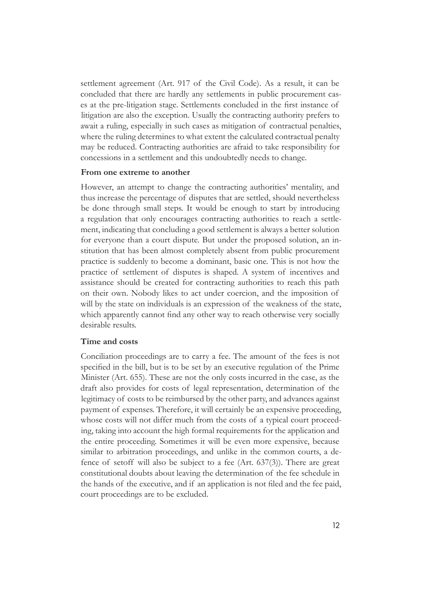settlement agreement (Art. 917 of the Civil Code). As a result, it can be concluded that there are hardly any settlements in public procurement cases at the pre-litigation stage. Settlements concluded in the first instance of litigation are also the exception. Usually the contracting authority prefers to await a ruling, especially in such cases as mitigation of contractual penalties, where the ruling determines to what extent the calculated contractual penalty may be reduced. Contracting authorities are afraid to take responsibility for concessions in a settlement and this undoubtedly needs to change.

#### **From one extreme to another**

However, an attempt to change the contracting authorities' mentality, and thus increase the percentage of disputes that are settled, should nevertheless be done through small steps. It would be enough to start by introducing a regulation that only encourages contracting authorities to reach a settlement, indicating that concluding a good settlement is always a better solution for everyone than a court dispute. But under the proposed solution, an institution that has been almost completely absent from public procurement practice is suddenly to become a dominant, basic one. This is not how the practice of settlement of disputes is shaped. A system of incentives and assistance should be created for contracting authorities to reach this path on their own. Nobody likes to act under coercion, and the imposition of will by the state on individuals is an expression of the weakness of the state, which apparently cannot find any other way to reach otherwise very socially desirable results.

#### **Time and costs**

Conciliation proceedings are to carry a fee. The amount of the fees is not specified in the bill, but is to be set by an executive regulation of the Prime Minister (Art. 655). These are not the only costs incurred in the case, as the draft also provides for costs of legal representation, determination of the legitimacy of costs to be reimbursed by the other party, and advances against payment of expenses. Therefore, it will certainly be an expensive proceeding, whose costs will not differ much from the costs of a typical court proceeding, taking into account the high formal requirements for the application and the entire proceeding. Sometimes it will be even more expensive, because similar to arbitration proceedings, and unlike in the common courts, a defence of setoff will also be subject to a fee (Art. 637(3)). There are great constitutional doubts about leaving the determination of the fee schedule in the hands of the executive, and if an application is not filed and the fee paid, court proceedings are to be excluded.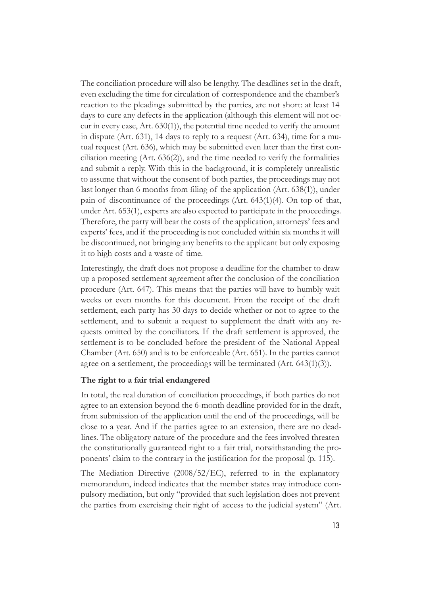The conciliation procedure will also be lengthy. The deadlines set in the draft, even excluding the time for circulation of correspondence and the chamber's reaction to the pleadings submitted by the parties, are not short: at least 14 days to cure any defects in the application (although this element will not occur in every case, Art. 630(1)), the potential time needed to verify the amount in dispute (Art. 631), 14 days to reply to a request (Art. 634), time for a mutual request (Art. 636), which may be submitted even later than the first conciliation meeting (Art. 636(2)), and the time needed to verify the formalities and submit a reply. With this in the background, it is completely unrealistic to assume that without the consent of both parties, the proceedings may not last longer than 6 months from filing of the application (Art. 638(1)), under pain of discontinuance of the proceedings (Art. 643(1)(4). On top of that, under Art. 653(1), experts are also expected to participate in the proceedings. Therefore, the party will bear the costs of the application, attorneys' fees and experts' fees, and if the proceeding is not concluded within six months it will be discontinued, not bringing any benefits to the applicant but only exposing it to high costs and a waste of time.

Interestingly, the draft does not propose a deadline for the chamber to draw up a proposed settlement agreement after the conclusion of the conciliation procedure (Art. 647). This means that the parties will have to humbly wait weeks or even months for this document. From the receipt of the draft settlement, each party has 30 days to decide whether or not to agree to the settlement, and to submit a request to supplement the draft with any requests omitted by the conciliators. If the draft settlement is approved, the settlement is to be concluded before the president of the National Appeal Chamber (Art. 650) and is to be enforceable (Art. 651). In the parties cannot agree on a settlement, the proceedings will be terminated (Art. 643(1)(3)).

#### **The right to a fair trial endangered**

In total, the real duration of conciliation proceedings, if both parties do not agree to an extension beyond the 6-month deadline provided for in the draft, from submission of the application until the end of the proceedings, will be close to a year. And if the parties agree to an extension, there are no deadlines. The obligatory nature of the procedure and the fees involved threaten the constitutionally guaranteed right to a fair trial, notwithstanding the proponents' claim to the contrary in the justification for the proposal (p. 115).

The Mediation Directive (2008/52/EC), referred to in the explanatory memorandum, indeed indicates that the member states may introduce compulsory mediation, but only "provided that such legislation does not prevent the parties from exercising their right of access to the judicial system" (Art.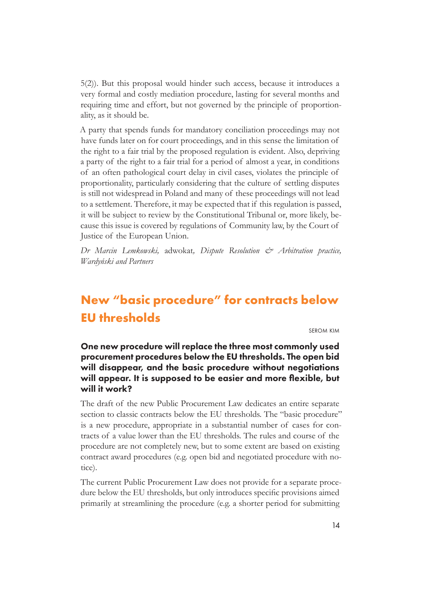<span id="page-13-0"></span>5(2)). But this proposal would hinder such access, because it introduces a very formal and costly mediation procedure, lasting for several months and requiring time and effort, but not governed by the principle of proportionality, as it should be.

A party that spends funds for mandatory conciliation proceedings may not have funds later on for court proceedings, and in this sense the limitation of the right to a fair trial by the proposed regulation is evident. Also, depriving a party of the right to a fair trial for a period of almost a year, in conditions of an often pathological court delay in civil cases, violates the principle of proportionality, particularly considering that the culture of settling disputes is still not widespread in Poland and many of these proceedings will not lead to a settlement. Therefore, it may be expected that if this regulation is passed, it will be subject to review by the Constitutional Tribunal or, more likely, because this issue is covered by regulations of Community law, by the Court of Justice of the European Union.

*Dr Marcin Lemkowski,* adwokat*, Dispute Resolution & Arbitration practice, Wardyński and Partners*

# **New "basic procedure" for contracts below EU thresholds**

serom kim

One new procedure will replace the three most commonly used procurement procedures below the EU thresholds. The open bid will disappear, and the basic procedure without negotiations will appear. It is supposed to be easier and more flexible, but will it work?

The draft of the new Public Procurement Law dedicates an entire separate section to classic contracts below the EU thresholds. The "basic procedure" is a new procedure, appropriate in a substantial number of cases for contracts of a value lower than the EU thresholds. The rules and course of the procedure are not completely new, but to some extent are based on existing contract award procedures (e.g. open bid and negotiated procedure with notice).

The current Public Procurement Law does not provide for a separate procedure below the EU thresholds, but only introduces specific provisions aimed primarily at streamlining the procedure (e.g. a shorter period for submitting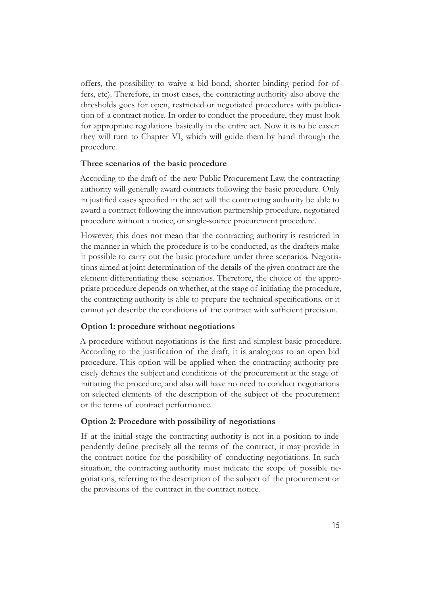offers, the possibility to waive a bid bond, shorter binding period for offers, etc). Therefore, in most cases, the contracting authority also above the thresholds goes for open, restricted or negotiated procedures with publication of a contract notice. In order to conduct the procedure, they must look for appropriate regulations basically in the entire act. Now it is to be easier: they will turn to Chapter VI, which will guide them by hand through the procedure.

#### **Three scenarios of the basic procedure**

According to the draft of the new Public Procurement Law, the contracting authority will generally award contracts following the basic procedure. Only in justified cases specified in the act will the contracting authority be able to award a contract following the innovation partnership procedure, negotiated procedure without a notice, or single-source procurement procedure.

However, this does not mean that the contracting authority is restricted in the manner in which the procedure is to be conducted, as the drafters make it possible to carry out the basic procedure under three scenarios. Negotiations aimed at joint determination of the details of the given contract are the element differentiating these scenarios. Therefore, the choice of the appropriate procedure depends on whether, at the stage of initiating the procedure, the contracting authority is able to prepare the technical specifications, or it cannot yet describe the conditions of the contract with sufficient precision.

#### **Option 1: procedure without negotiations**

A procedure without negotiations is the first and simplest basic procedure. According to the justification of the draft, it is analogous to an open bid procedure. This option will be applied when the contracting authority precisely defines the subject and conditions of the procurement at the stage of initiating the procedure, and also will have no need to conduct negotiations on selected elements of the description of the subject of the procurement or the terms of contract performance.

#### **Option 2: Procedure with possibility of negotiations**

If at the initial stage the contracting authority is not in a position to independently define precisely all the terms of the contract, it may provide in the contract notice for the possibility of conducting negotiations. In such situation, the contracting authority must indicate the scope of possible negotiations, referring to the description of the subject of the procurement or the provisions of the contract in the contract notice.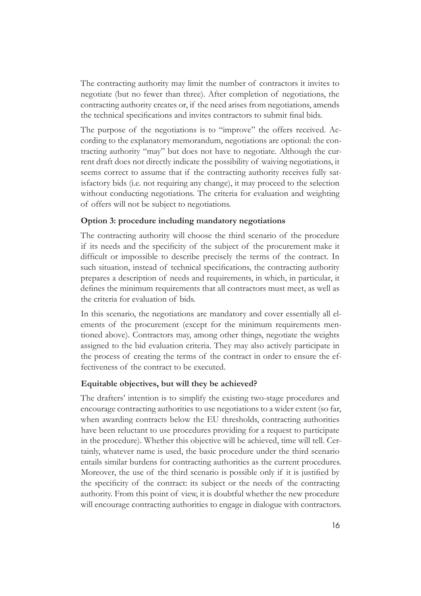The contracting authority may limit the number of contractors it invites to negotiate (but no fewer than three). After completion of negotiations, the contracting authority creates or, if the need arises from negotiations, amends the technical specifications and invites contractors to submit final bids.

The purpose of the negotiations is to "improve" the offers received. According to the explanatory memorandum, negotiations are optional: the contracting authority "may" but does not have to negotiate. Although the current draft does not directly indicate the possibility of waiving negotiations, it seems correct to assume that if the contracting authority receives fully satisfactory bids (i.e. not requiring any change), it may proceed to the selection without conducting negotiations. The criteria for evaluation and weighting of offers will not be subject to negotiations.

#### **Option 3: procedure including mandatory negotiations**

The contracting authority will choose the third scenario of the procedure if its needs and the specificity of the subject of the procurement make it difficult or impossible to describe precisely the terms of the contract. In such situation, instead of technical specifications, the contracting authority prepares a description of needs and requirements, in which, in particular, it defines the minimum requirements that all contractors must meet, as well as the criteria for evaluation of bids.

In this scenario, the negotiations are mandatory and cover essentially all elements of the procurement (except for the minimum requirements mentioned above). Contractors may, among other things, negotiate the weights assigned to the bid evaluation criteria. They may also actively participate in the process of creating the terms of the contract in order to ensure the effectiveness of the contract to be executed.

#### **Equitable objectives, but will they be achieved?**

The drafters' intention is to simplify the existing two-stage procedures and encourage contracting authorities to use negotiations to a wider extent (so far, when awarding contracts below the EU thresholds, contracting authorities have been reluctant to use procedures providing for a request to participate in the procedure). Whether this objective will be achieved, time will tell. Certainly, whatever name is used, the basic procedure under the third scenario entails similar burdens for contracting authorities as the current procedures. Moreover, the use of the third scenario is possible only if it is justified by the specificity of the contract: its subject or the needs of the contracting authority. From this point of view, it is doubtful whether the new procedure will encourage contracting authorities to engage in dialogue with contractors.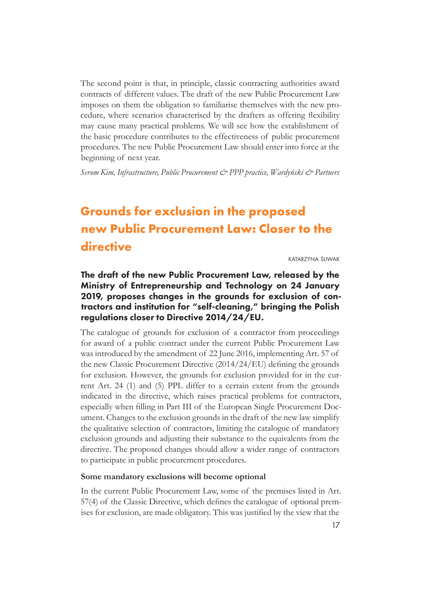<span id="page-16-0"></span>The second point is that, in principle, classic contracting authorities award contracts of different values. The draft of the new Public Procurement Law imposes on them the obligation to familiarise themselves with the new procedure, where scenarios characterised by the drafters as offering flexibility may cause many practical problems. We will see how the establishment of the basic procedure contributes to the effectiveness of public procurement procedures. The new Public Procurement Law should enter into force at the beginning of next year.

*Serom Kim, Infrastructure, Public Procurement & PPP practice, Wardyński & Partners*

# **Grounds for exclusion in the proposed new Public Procurement Law: Closer to the directive**

katarzyna śliwak

## The draft of the new Public Procurement Law, released by the Ministry of Entrepreneurship and Technology on 24 January 2019, proposes changes in the grounds for exclusion of contractors and institution for "self-cleaning," bringing the Polish regulations closer to Directive 2014/24/EU.

The catalogue of grounds for exclusion of a contractor from proceedings for award of a public contract under the current Public Procurement Law was introduced by the amendment of 22 June 2016, implementing Art. 57 of the new Classic Procurement Directive (2014/24/EU) defining the grounds for exclusion. However, the grounds for exclusion provided for in the current Art. 24 (1) and (5) PPL differ to a certain extent from the grounds indicated in the directive, which raises practical problems for contractors, especially when filling in Part III of the European Single Procurement Document. Changes to the exclusion grounds in the draft of the new law simplify the qualitative selection of contractors, limiting the catalogue of mandatory exclusion grounds and adjusting their substance to the equivalents from the directive. The proposed changes should allow a wider range of contractors to participate in public procurement procedures.

#### **Some mandatory exclusions will become optional**

In the current Public Procurement Law, some of the premises listed in Art. 57(4) of the Classic Directive, which defines the catalogue of optional premises for exclusion, are made obligatory. This was justified by the view that the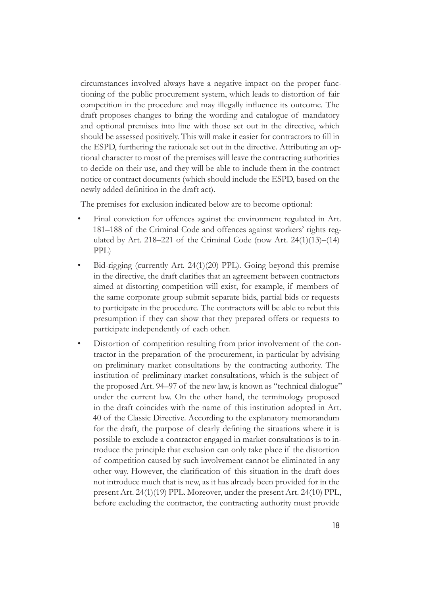circumstances involved always have a negative impact on the proper functioning of the public procurement system, which leads to distortion of fair competition in the procedure and may illegally influence its outcome. The draft proposes changes to bring the wording and catalogue of mandatory and optional premises into line with those set out in the directive, which should be assessed positively. This will make it easier for contractors to fill in the ESPD, furthering the rationale set out in the directive. Attributing an optional character to most of the premises will leave the contracting authorities to decide on their use, and they will be able to include them in the contract notice or contract documents (which should include the ESPD, based on the newly added definition in the draft act).

The premises for exclusion indicated below are to become optional:

- Final conviction for offences against the environment regulated in Art. 181–188 of the Criminal Code and offences against workers' rights regulated by Art. 218–221 of the Criminal Code (now Art. 24(1)(13)–(14) PPL)
- Bid-rigging (currently Art. 24(1)(20) PPL). Going beyond this premise in the directive, the draft clarifies that an agreement between contractors aimed at distorting competition will exist, for example, if members of the same corporate group submit separate bids, partial bids or requests to participate in the procedure. The contractors will be able to rebut this presumption if they can show that they prepared offers or requests to participate independently of each other.
- Distortion of competition resulting from prior involvement of the contractor in the preparation of the procurement, in particular by advising on preliminary market consultations by the contracting authority. The institution of preliminary market consultations, which is the subject of the proposed Art. 94–97 of the new law, is known as "technical dialogue" under the current law. On the other hand, the terminology proposed in the draft coincides with the name of this institution adopted in Art. 40 of the Classic Directive. According to the explanatory memorandum for the draft, the purpose of clearly defining the situations where it is possible to exclude a contractor engaged in market consultations is to introduce the principle that exclusion can only take place if the distortion of competition caused by such involvement cannot be eliminated in any other way. However, the clarification of this situation in the draft does not introduce much that is new, as it has already been provided for in the present Art. 24(1)(19) PPL. Moreover, under the present Art. 24(10) PPL, before excluding the contractor, the contracting authority must provide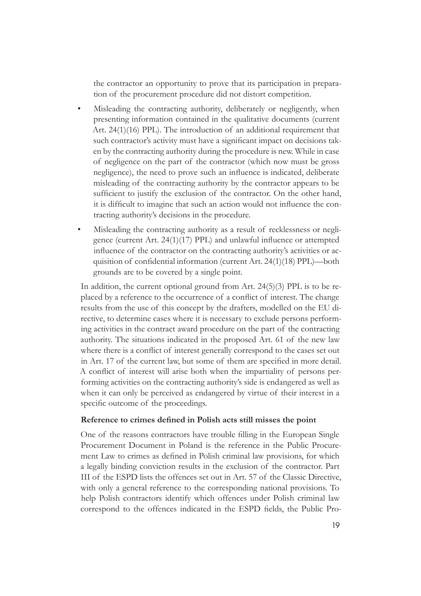the contractor an opportunity to prove that its participation in preparation of the procurement procedure did not distort competition.

- Misleading the contracting authority, deliberately or negligently, when presenting information contained in the qualitative documents (current Art. 24(1)(16) PPL). The introduction of an additional requirement that such contractor's activity must have a significant impact on decisions taken by the contracting authority during the procedure is new. While in case of negligence on the part of the contractor (which now must be gross negligence), the need to prove such an influence is indicated, deliberate misleading of the contracting authority by the contractor appears to be sufficient to justify the exclusion of the contractor. On the other hand, it is difficult to imagine that such an action would not influence the contracting authority's decisions in the procedure.
- Misleading the contracting authority as a result of recklessness or negligence (current Art. 24(1)(17) PPL) and unlawful influence or attempted influence of the contractor on the contracting authority's activities or acquisition of confidential information (current Art. 24(1)(18) PPL)—both grounds are to be covered by a single point.

In addition, the current optional ground from Art. 24(5)(3) PPL is to be replaced by a reference to the occurrence of a conflict of interest. The change results from the use of this concept by the drafters, modelled on the EU directive, to determine cases where it is necessary to exclude persons performing activities in the contract award procedure on the part of the contracting authority. The situations indicated in the proposed Art. 61 of the new law where there is a conflict of interest generally correspond to the cases set out in Art. 17 of the current law, but some of them are specified in more detail. A conflict of interest will arise both when the impartiality of persons performing activities on the contracting authority's side is endangered as well as when it can only be perceived as endangered by virtue of their interest in a specific outcome of the proceedings.

#### **Reference to crimes defined in Polish acts still misses the point**

One of the reasons contractors have trouble filling in the European Single Procurement Document in Poland is the reference in the Public Procurement Law to crimes as defined in Polish criminal law provisions, for which a legally binding conviction results in the exclusion of the contractor. Part III of the ESPD lists the offences set out in Art. 57 of the Classic Directive, with only a general reference to the corresponding national provisions. To help Polish contractors identify which offences under Polish criminal law correspond to the offences indicated in the ESPD fields, the Public Pro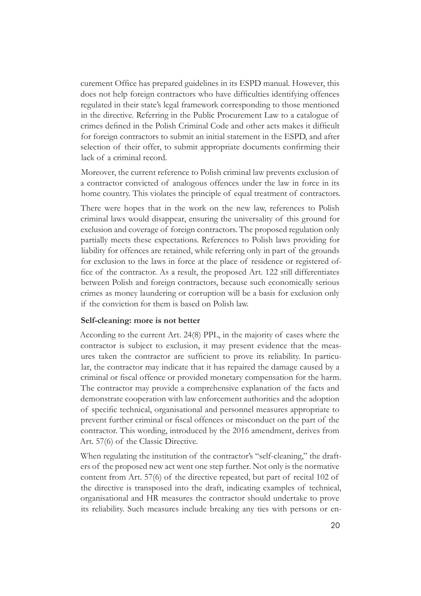curement Office has prepared guidelines in its ESPD manual. However, this does not help foreign contractors who have difficulties identifying offences regulated in their state's legal framework corresponding to those mentioned in the directive. Referring in the Public Procurement Law to a catalogue of crimes defined in the Polish Criminal Code and other acts makes it difficult for foreign contractors to submit an initial statement in the ESPD, and after selection of their offer, to submit appropriate documents confirming their lack of a criminal record.

Moreover, the current reference to Polish criminal law prevents exclusion of a contractor convicted of analogous offences under the law in force in its home country. This violates the principle of equal treatment of contractors.

There were hopes that in the work on the new law, references to Polish criminal laws would disappear, ensuring the universality of this ground for exclusion and coverage of foreign contractors. The proposed regulation only partially meets these expectations. References to Polish laws providing for liability for offences are retained, while referring only in part of the grounds for exclusion to the laws in force at the place of residence or registered office of the contractor. As a result, the proposed Art. 122 still differentiates between Polish and foreign contractors, because such economically serious crimes as money laundering or corruption will be a basis for exclusion only if the conviction for them is based on Polish law.

#### **Self-cleaning: more is not better**

According to the current Art. 24(8) PPL, in the majority of cases where the contractor is subject to exclusion, it may present evidence that the measures taken the contractor are sufficient to prove its reliability. In particular, the contractor may indicate that it has repaired the damage caused by a criminal or fiscal offence or provided monetary compensation for the harm. The contractor may provide a comprehensive explanation of the facts and demonstrate cooperation with law enforcement authorities and the adoption of specific technical, organisational and personnel measures appropriate to prevent further criminal or fiscal offences or misconduct on the part of the contractor. This wording, introduced by the 2016 amendment, derives from Art. 57(6) of the Classic Directive.

When regulating the institution of the contractor's "self-cleaning," the drafters of the proposed new act went one step further. Not only is the normative content from Art. 57(6) of the directive repeated, but part of recital 102 of the directive is transposed into the draft, indicating examples of technical, organisational and HR measures the contractor should undertake to prove its reliability. Such measures include breaking any ties with persons or en-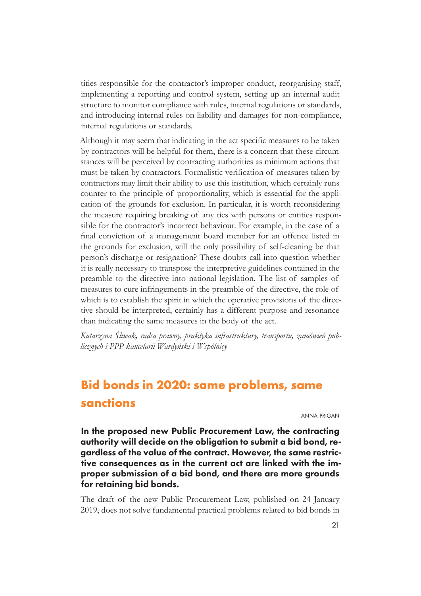<span id="page-20-0"></span>tities responsible for the contractor's improper conduct, reorganising staff, implementing a reporting and control system, setting up an internal audit structure to monitor compliance with rules, internal regulations or standards, and introducing internal rules on liability and damages for non-compliance, internal regulations or standards.

Although it may seem that indicating in the act specific measures to be taken by contractors will be helpful for them, there is a concern that these circumstances will be perceived by contracting authorities as minimum actions that must be taken by contractors. Formalistic verification of measures taken by contractors may limit their ability to use this institution, which certainly runs counter to the principle of proportionality, which is essential for the application of the grounds for exclusion. In particular, it is worth reconsidering the measure requiring breaking of any ties with persons or entities responsible for the contractor's incorrect behaviour. For example, in the case of a final conviction of a management board member for an offence listed in the grounds for exclusion, will the only possibility of self-cleaning be that person's discharge or resignation? These doubts call into question whether it is really necessary to transpose the interpretive guidelines contained in the preamble to the directive into national legislation. The list of samples of measures to cure infringements in the preamble of the directive, the role of which is to establish the spirit in which the operative provisions of the directive should be interpreted, certainly has a different purpose and resonance than indicating the same measures in the body of the act.

*Katarzyna Śliwak, radca prawny, praktyka infrastruktury, transportu, zamówień publicznych i PPP kancelarii Wardyński i Wspólnicy*

# **Bid bonds in 2020: same problems, same sanctions**

anna prigan

In the proposed new Public Procurement Law, the contracting authority will decide on the obligation to submit a bid bond, regardless of the value of the contract. However, the same restrictive consequences as in the current act are linked with the improper submission of a bid bond, and there are more grounds for retaining bid bonds.

The draft of the new Public Procurement Law, published on 24 January 2019, does not solve fundamental practical problems related to bid bonds in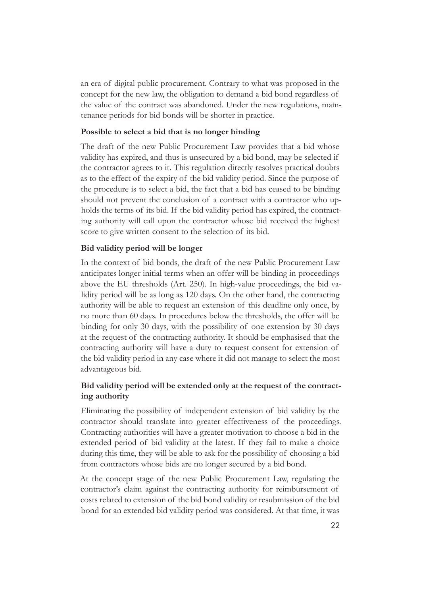an era of digital public procurement. Contrary to what was proposed in the concept for the new law, the obligation to demand a bid bond regardless of the value of the contract was abandoned. Under the new regulations, maintenance periods for bid bonds will be shorter in practice.

#### **Possible to select a bid that is no longer binding**

The draft of the new Public Procurement Law provides that a bid whose validity has expired, and thus is unsecured by a bid bond, may be selected if the contractor agrees to it. This regulation directly resolves practical doubts as to the effect of the expiry of the bid validity period. Since the purpose of the procedure is to select a bid, the fact that a bid has ceased to be binding should not prevent the conclusion of a contract with a contractor who upholds the terms of its bid. If the bid validity period has expired, the contracting authority will call upon the contractor whose bid received the highest score to give written consent to the selection of its bid.

#### **Bid validity period will be longer**

In the context of bid bonds, the draft of the new Public Procurement Law anticipates longer initial terms when an offer will be binding in proceedings above the EU thresholds (Art. 250). In high-value proceedings, the bid validity period will be as long as 120 days. On the other hand, the contracting authority will be able to request an extension of this deadline only once, by no more than 60 days. In procedures below the thresholds, the offer will be binding for only 30 days, with the possibility of one extension by 30 days at the request of the contracting authority. It should be emphasised that the contracting authority will have a duty to request consent for extension of the bid validity period in any case where it did not manage to select the most advantageous bid.

#### **Bid validity period will be extended only at the request of the contracting authority**

Eliminating the possibility of independent extension of bid validity by the contractor should translate into greater effectiveness of the proceedings. Contracting authorities will have a greater motivation to choose a bid in the extended period of bid validity at the latest. If they fail to make a choice during this time, they will be able to ask for the possibility of choosing a bid from contractors whose bids are no longer secured by a bid bond.

At the concept stage of the new Public Procurement Law, regulating the contractor's claim against the contracting authority for reimbursement of costs related to extension of the bid bond validity or resubmission of the bid bond for an extended bid validity period was considered. At that time, it was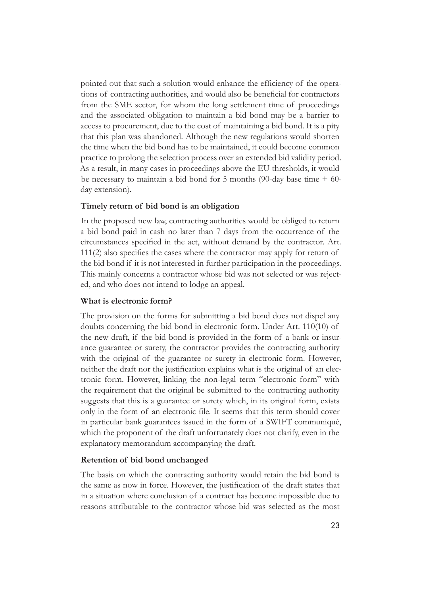pointed out that such a solution would enhance the efficiency of the operations of contracting authorities, and would also be beneficial for contractors from the SME sector, for whom the long settlement time of proceedings and the associated obligation to maintain a bid bond may be a barrier to access to procurement, due to the cost of maintaining a bid bond. It is a pity that this plan was abandoned. Although the new regulations would shorten the time when the bid bond has to be maintained, it could become common practice to prolong the selection process over an extended bid validity period. As a result, in many cases in proceedings above the EU thresholds, it would be necessary to maintain a bid bond for 5 months (90-day base time  $+$  60day extension).

#### **Timely return of bid bond is an obligation**

In the proposed new law, contracting authorities would be obliged to return a bid bond paid in cash no later than 7 days from the occurrence of the circumstances specified in the act, without demand by the contractor. Art. 111(2) also specifies the cases where the contractor may apply for return of the bid bond if it is not interested in further participation in the proceedings. This mainly concerns a contractor whose bid was not selected or was rejected, and who does not intend to lodge an appeal.

#### **What is electronic form?**

The provision on the forms for submitting a bid bond does not dispel any doubts concerning the bid bond in electronic form. Under Art. 110(10) of the new draft, if the bid bond is provided in the form of a bank or insurance guarantee or surety, the contractor provides the contracting authority with the original of the guarantee or surety in electronic form. However, neither the draft nor the justification explains what is the original of an electronic form. However, linking the non-legal term "electronic form" with the requirement that the original be submitted to the contracting authority suggests that this is a guarantee or surety which, in its original form, exists only in the form of an electronic file. It seems that this term should cover in particular bank guarantees issued in the form of a SWIFT communiqué, which the proponent of the draft unfortunately does not clarify, even in the explanatory memorandum accompanying the draft.

#### **Retention of bid bond unchanged**

The basis on which the contracting authority would retain the bid bond is the same as now in force. However, the justification of the draft states that in a situation where conclusion of a contract has become impossible due to reasons attributable to the contractor whose bid was selected as the most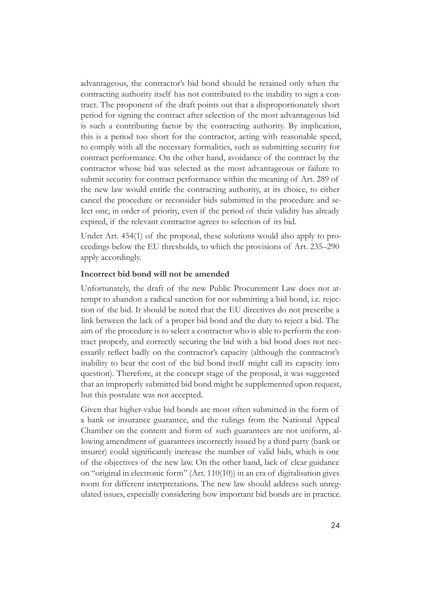advantageous, the contractor's bid bond should be retained only when the contracting authority itself has not contributed to the inability to sign a contract. The proponent of the draft points out that a disproportionately short period for signing the contract after selection of the most advantageous bid is such a contributing factor by the contracting authority. By implication, this is a period too short for the contractor, acting with reasonable speed, to comply with all the necessary formalities, such as submitting security for contract performance. On the other hand, avoidance of the contract by the contractor whose bid was selected as the most advantageous or failure to submit security for contract performance within the meaning of Art. 289 of the new law would entitle the contracting authority, at its choice, to either cancel the procedure or reconsider bids submitted in the procedure and select one, in order of priority, even if the period of their validity has already expired, if the relevant contractor agrees to selection of its bid.

Under Art. 454(1) of the proposal, these solutions would also apply to proceedings below the EU thresholds, to which the provisions of Art. 235–290 apply accordingly.

#### **Incorrect bid bond will not be amended**

Unfortunately, the draft of the new Public Procurement Law does not attempt to abandon a radical sanction for not submitting a bid bond, i.e. rejection of the bid. It should be noted that the EU directives do not prescribe a link between the lack of a proper bid bond and the duty to reject a bid. The aim of the procedure is to select a contractor who is able to perform the contract properly, and correctly securing the bid with a bid bond does not necessarily reflect badly on the contractor's capacity (although the contractor's inability to bear the cost of the bid bond itself might call its capacity into question). Therefore, at the concept stage of the proposal, it was suggested that an improperly submitted bid bond might be supplemented upon request, but this postulate was not accepted.

Given that higher-value bid bonds are most often submitted in the form of a bank or insurance guarantee, and the rulings from the National Appeal Chamber on the content and form of such guarantees are not uniform, allowing amendment of guarantees incorrectly issued by a third party (bank or insurer) could significantly increase the number of valid bids, which is one of the objectives of the new law. On the other hand, lack of clear guidance on "original in electronic form" (Art. 110(10)) in an era of digitalisation gives room for different interpretations. The new law should address such unregulated issues, especially considering how important bid bonds are in practice.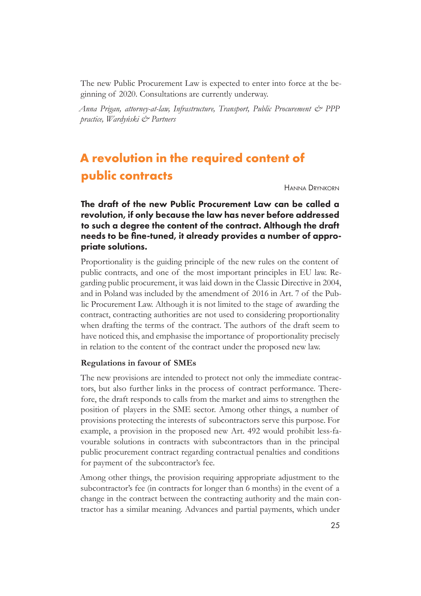<span id="page-24-0"></span>The new Public Procurement Law is expected to enter into force at the beginning of 2020. Consultations are currently underway.

*Anna Prigan, attorney-at-law, Infrastructure, Transport, Public Procurement & PPP practice, Wardyński & Partners*

# **A revolution in the required content of public contracts**

Hanna Drynkorn

## The draft of the new Public Procurement Law can be called a revolution, if only because the law has never before addressed to such a degree the content of the contract. Although the draft needs to be fine-tuned, it already provides a number of appropriate solutions.

Proportionality is the guiding principle of the new rules on the content of public contracts, and one of the most important principles in EU law. Regarding public procurement, it was laid down in the Classic Directive in 2004, and in Poland was included by the amendment of 2016 in Art. 7 of the Public Procurement Law. Although it is not limited to the stage of awarding the contract, contracting authorities are not used to considering proportionality when drafting the terms of the contract. The authors of the draft seem to have noticed this, and emphasise the importance of proportionality precisely in relation to the content of the contract under the proposed new law.

#### **Regulations in favour of SMEs**

The new provisions are intended to protect not only the immediate contractors, but also further links in the process of contract performance. Therefore, the draft responds to calls from the market and aims to strengthen the position of players in the SME sector. Among other things, a number of provisions protecting the interests of subcontractors serve this purpose. For example, a provision in the proposed new Art. 492 would prohibit less-favourable solutions in contracts with subcontractors than in the principal public procurement contract regarding contractual penalties and conditions for payment of the subcontractor's fee.

Among other things, the provision requiring appropriate adjustment to the subcontractor's fee (in contracts for longer than 6 months) in the event of a change in the contract between the contracting authority and the main contractor has a similar meaning. Advances and partial payments, which under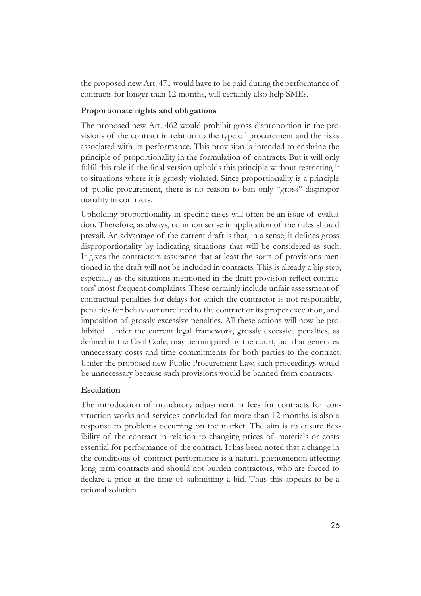the proposed new Art. 471 would have to be paid during the performance of contracts for longer than 12 months, will certainly also help SMEs.

#### **Proportionate rights and obligations**

The proposed new Art. 462 would prohibit gross disproportion in the provisions of the contract in relation to the type of procurement and the risks associated with its performance. This provision is intended to enshrine the principle of proportionality in the formulation of contracts. But it will only fulfil this role if the final version upholds this principle without restricting it to situations where it is grossly violated. Since proportionality is a principle of public procurement, there is no reason to ban only "gross" disproportionality in contracts.

Upholding proportionality in specific cases will often be an issue of evaluation. Therefore, as always, common sense in application of the rules should prevail. An advantage of the current draft is that, in a sense, it defines gross disproportionality by indicating situations that will be considered as such. It gives the contractors assurance that at least the sorts of provisions mentioned in the draft will not be included in contracts. This is already a big step, especially as the situations mentioned in the draft provision reflect contractors' most frequent complaints. These certainly include unfair assessment of contractual penalties for delays for which the contractor is not responsible, penalties for behaviour unrelated to the contract or its proper execution, and imposition of grossly excessive penalties. All these actions will now be prohibited. Under the current legal framework, grossly excessive penalties, as defined in the Civil Code, may be mitigated by the court, but that generates unnecessary costs and time commitments for both parties to the contract. Under the proposed new Public Procurement Law, such proceedings would be unnecessary because such provisions would be banned from contracts.

#### **Escalation**

The introduction of mandatory adjustment in fees for contracts for construction works and services concluded for more than 12 months is also a response to problems occurring on the market. The aim is to ensure flexibility of the contract in relation to changing prices of materials or costs essential for performance of the contract. It has been noted that a change in the conditions of contract performance is a natural phenomenon affecting long-term contracts and should not burden contractors, who are forced to declare a price at the time of submitting a bid. Thus this appears to be a rational solution.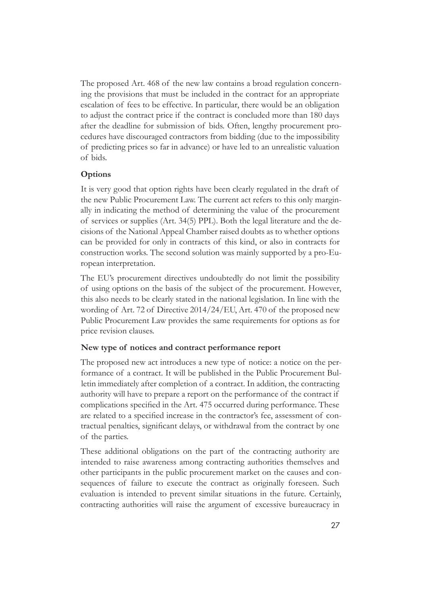The proposed Art. 468 of the new law contains a broad regulation concerning the provisions that must be included in the contract for an appropriate escalation of fees to be effective. In particular, there would be an obligation to adjust the contract price if the contract is concluded more than 180 days after the deadline for submission of bids. Often, lengthy procurement procedures have discouraged contractors from bidding (due to the impossibility of predicting prices so far in advance) or have led to an unrealistic valuation of bids.

#### **Options**

It is very good that option rights have been clearly regulated in the draft of the new Public Procurement Law. The current act refers to this only marginally in indicating the method of determining the value of the procurement of services or supplies (Art. 34(5) PPL). Both the legal literature and the decisions of the National Appeal Chamber raised doubts as to whether options can be provided for only in contracts of this kind, or also in contracts for construction works. The second solution was mainly supported by a pro-European interpretation.

The EU's procurement directives undoubtedly do not limit the possibility of using options on the basis of the subject of the procurement. However, this also needs to be clearly stated in the national legislation. In line with the wording of Art. 72 of Directive 2014/24/EU, Art. 470 of the proposed new Public Procurement Law provides the same requirements for options as for price revision clauses.

#### **New type of notices and contract performance report**

The proposed new act introduces a new type of notice: a notice on the performance of a contract. It will be published in the Public Procurement Bulletin immediately after completion of a contract. In addition, the contracting authority will have to prepare a report on the performance of the contract if complications specified in the Art. 475 occurred during performance. These are related to a specified increase in the contractor's fee, assessment of contractual penalties, significant delays, or withdrawal from the contract by one of the parties.

These additional obligations on the part of the contracting authority are intended to raise awareness among contracting authorities themselves and other participants in the public procurement market on the causes and consequences of failure to execute the contract as originally foreseen. Such evaluation is intended to prevent similar situations in the future. Certainly, contracting authorities will raise the argument of excessive bureaucracy in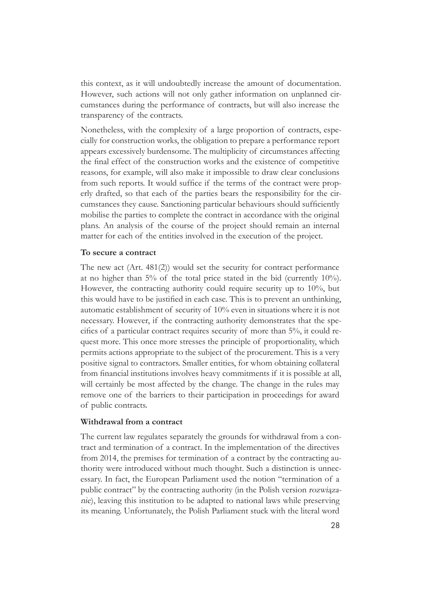this context, as it will undoubtedly increase the amount of documentation. However, such actions will not only gather information on unplanned circumstances during the performance of contracts, but will also increase the transparency of the contracts.

Nonetheless, with the complexity of a large proportion of contracts, especially for construction works, the obligation to prepare a performance report appears excessively burdensome. The multiplicity of circumstances affecting the final effect of the construction works and the existence of competitive reasons, for example, will also make it impossible to draw clear conclusions from such reports. It would suffice if the terms of the contract were properly drafted, so that each of the parties bears the responsibility for the circumstances they cause. Sanctioning particular behaviours should sufficiently mobilise the parties to complete the contract in accordance with the original plans. An analysis of the course of the project should remain an internal matter for each of the entities involved in the execution of the project.

#### **To secure a contract**

The new act (Art. 481(2)) would set the security for contract performance at no higher than 5% of the total price stated in the bid (currently 10%). However, the contracting authority could require security up to 10%, but this would have to be justified in each case. This is to prevent an unthinking, automatic establishment of security of 10% even in situations where it is not necessary. However, if the contracting authority demonstrates that the specifics of a particular contract requires security of more than 5%, it could request more. This once more stresses the principle of proportionality, which permits actions appropriate to the subject of the procurement. This is a very positive signal to contractors. Smaller entities, for whom obtaining collateral from financial institutions involves heavy commitments if it is possible at all, will certainly be most affected by the change. The change in the rules may remove one of the barriers to their participation in proceedings for award of public contracts.

#### **Withdrawal from a contract**

The current law regulates separately the grounds for withdrawal from a contract and termination of a contract. In the implementation of the directives from 2014, the premises for termination of a contract by the contracting authority were introduced without much thought. Such a distinction is unnecessary. In fact, the European Parliament used the notion "termination of a public contract" by the contracting authority (in the Polish version rozwiązanie), leaving this institution to be adapted to national laws while preserving its meaning. Unfortunately, the Polish Parliament stuck with the literal word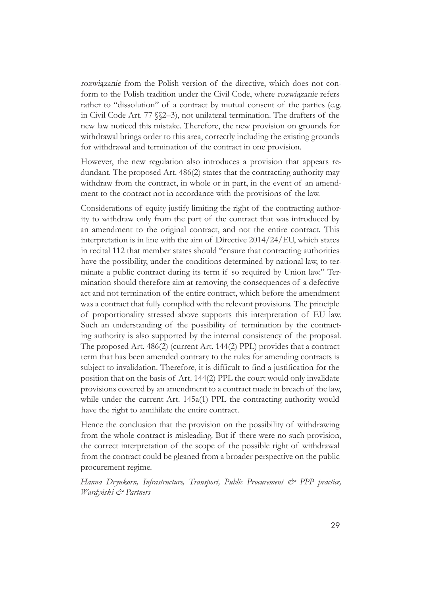<span id="page-28-0"></span>rozwiązanie from the Polish version of the directive, which does not conform to the Polish tradition under the Civil Code, where rozwiązanie refers rather to "dissolution" of a contract by mutual consent of the parties (e.g. in Civil Code Art. 77 §§2–3), not unilateral termination. The drafters of the new law noticed this mistake. Therefore, the new provision on grounds for withdrawal brings order to this area, correctly including the existing grounds for withdrawal and termination of the contract in one provision.

However, the new regulation also introduces a provision that appears redundant. The proposed Art. 486(2) states that the contracting authority may withdraw from the contract, in whole or in part, in the event of an amendment to the contract not in accordance with the provisions of the law.

Considerations of equity justify limiting the right of the contracting authority to withdraw only from the part of the contract that was introduced by an amendment to the original contract, and not the entire contract. This interpretation is in line with the aim of Directive 2014/24/EU, which states in recital 112 that member states should "ensure that contracting authorities have the possibility, under the conditions determined by national law, to terminate a public contract during its term if so required by Union law." Termination should therefore aim at removing the consequences of a defective act and not termination of the entire contract, which before the amendment was a contract that fully complied with the relevant provisions. The principle of proportionality stressed above supports this interpretation of EU law. Such an understanding of the possibility of termination by the contracting authority is also supported by the internal consistency of the proposal. The proposed Art. 486(2) (current Art. 144(2) PPL) provides that a contract term that has been amended contrary to the rules for amending contracts is subject to invalidation. Therefore, it is difficult to find a justification for the position that on the basis of Art. 144(2) PPL the court would only invalidate provisions covered by an amendment to a contract made in breach of the law, while under the current Art. 145a(1) PPL the contracting authority would have the right to annihilate the entire contract.

Hence the conclusion that the provision on the possibility of withdrawing from the whole contract is misleading. But if there were no such provision, the correct interpretation of the scope of the possible right of withdrawal from the contract could be gleaned from a broader perspective on the public procurement regime.

*Hanna Drynkorn, Infrastructure, Transport, Public Procurement & PPP practice, Wardyński & Partners*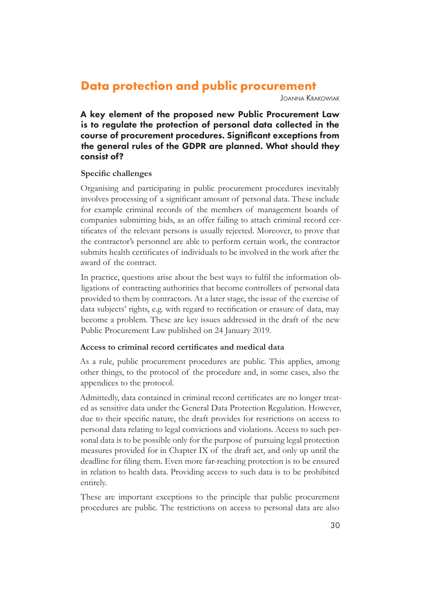## **Data protection and public procurement**

Joanna Krakowiak

A key element of the proposed new Public Procurement Law is to regulate the protection of personal data collected in the course of procurement procedures. Significant exceptions from the general rules of the GDPR are planned. What should they consist of?

#### **Specific challenges**

Organising and participating in public procurement procedures inevitably involves processing of a significant amount of personal data. These include for example criminal records of the members of management boards of companies submitting bids, as an offer failing to attach criminal record certificates of the relevant persons is usually rejected. Moreover, to prove that the contractor's personnel are able to perform certain work, the contractor submits health certificates of individuals to be involved in the work after the award of the contract.

In practice, questions arise about the best ways to fulfil the information obligations of contracting authorities that become controllers of personal data provided to them by contractors. At a later stage, the issue of the exercise of data subjects' rights, e.g. with regard to rectification or erasure of data, may become a problem. These are key issues addressed in the draft of the new Public Procurement Law published on 24 January 2019.

#### **Access to criminal record certificates and medical data**

As a rule, public procurement procedures are public. This applies, among other things, to the protocol of the procedure and, in some cases, also the appendices to the protocol.

Admittedly, data contained in criminal record certificates are no longer treated as sensitive data under the General Data Protection Regulation. However, due to their specific nature, the draft provides for restrictions on access to personal data relating to legal convictions and violations. Access to such personal data is to be possible only for the purpose of pursuing legal protection measures provided for in Chapter IX of the draft act, and only up until the deadline for filing them. Even more far-reaching protection is to be ensured in relation to health data. Providing access to such data is to be prohibited entirely.

These are important exceptions to the principle that public procurement procedures are public. The restrictions on access to personal data are also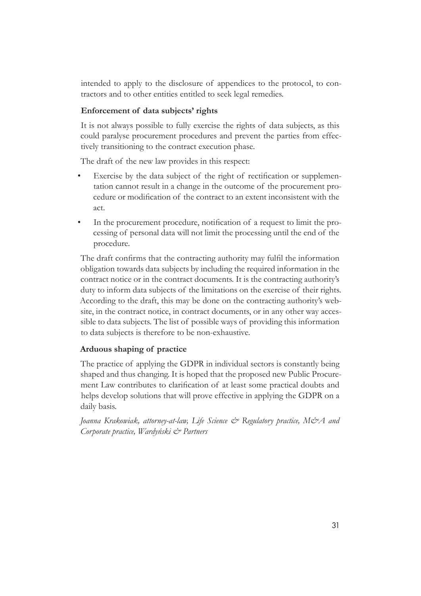intended to apply to the disclosure of appendices to the protocol, to contractors and to other entities entitled to seek legal remedies.

#### **Enforcement of data subjects' rights**

It is not always possible to fully exercise the rights of data subjects, as this could paralyse procurement procedures and prevent the parties from effectively transitioning to the contract execution phase.

The draft of the new law provides in this respect:

- Exercise by the data subject of the right of rectification or supplementation cannot result in a change in the outcome of the procurement procedure or modification of the contract to an extent inconsistent with the act.
- In the procurement procedure, notification of a request to limit the processing of personal data will not limit the processing until the end of the procedure.

The draft confirms that the contracting authority may fulfil the information obligation towards data subjects by including the required information in the contract notice or in the contract documents. It is the contracting authority's duty to inform data subjects of the limitations on the exercise of their rights. According to the draft, this may be done on the contracting authority's website, in the contract notice, in contract documents, or in any other way accessible to data subjects. The list of possible ways of providing this information to data subjects is therefore to be non-exhaustive.

## **Arduous shaping of practice**

The practice of applying the GDPR in individual sectors is constantly being shaped and thus changing. It is hoped that the proposed new Public Procurement Law contributes to clarification of at least some practical doubts and helps develop solutions that will prove effective in applying the GDPR on a daily basis.

*Joanna Krakowiak, attorney-at-law, Life Science & Regulatory practice, M&A and Corporate practice, Wardyński & Partners*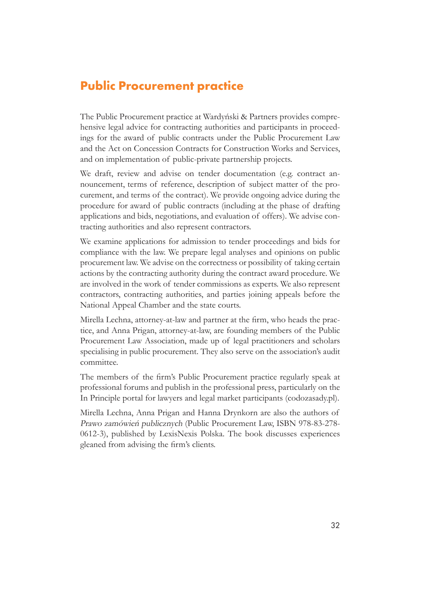## <span id="page-31-0"></span>**Public Procurement practice**

The Public Procurement practice at Wardyński & Partners provides comprehensive legal advice for contracting authorities and participants in proceedings for the award of public contracts under the Public Procurement Law and the Act on Concession Contracts for Construction Works and Services, and on implementation of public-private partnership projects.

We draft, review and advise on tender documentation (e.g. contract announcement, terms of reference, description of subject matter of the procurement, and terms of the contract). We provide ongoing advice during the procedure for award of public contracts (including at the phase of drafting applications and bids, negotiations, and evaluation of offers). We advise contracting authorities and also represent contractors.

We examine applications for admission to tender proceedings and bids for compliance with the law. We prepare legal analyses and opinions on public procurement law. We advise on the correctness or possibility of taking certain actions by the contracting authority during the contract award procedure. We are involved in the work of tender commissions as experts. We also represent contractors, contracting authorities, and parties joining appeals before the National Appeal Chamber and the state courts.

Mirella Lechna, attorney-at-law and partner at the firm, who heads the practice, and Anna Prigan, attorney-at-law, are founding members of the Public Procurement Law Association, made up of legal practitioners and scholars specialising in public procurement. They also serve on the association's audit committee.

The members of the firm's Public Procurement practice regularly speak at professional forums and publish in the professional press, particularly on the In Principle portal for lawyers and legal market participants (codozasady.pl).

Mirella Lechna, Anna Prigan and Hanna Drynkorn are also the authors of Prawo zamówień publicznych (Public Procurement Law, ISBN 978-83-278- 0612-3), published by LexisNexis Polska. The book discusses experiences gleaned from advising the firm's clients.